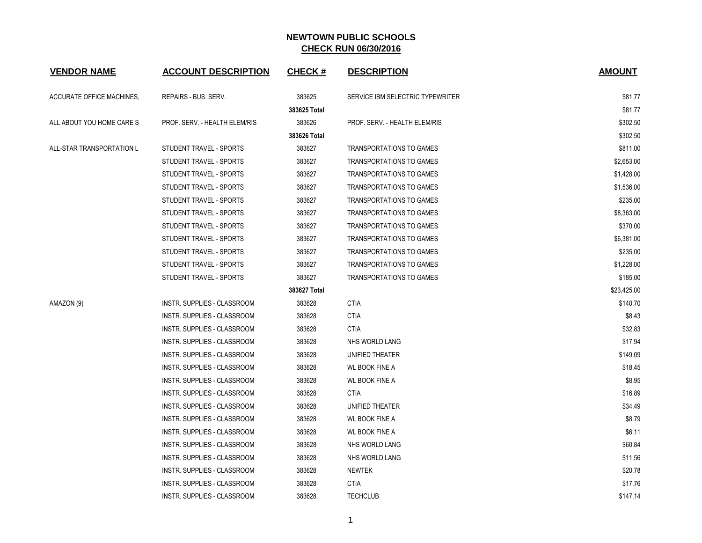| <b>VENDOR NAME</b>               | <b>ACCOUNT DESCRIPTION</b>    | <b>CHECK#</b> | <b>DESCRIPTION</b>               | <b>AMOUNT</b> |
|----------------------------------|-------------------------------|---------------|----------------------------------|---------------|
| <b>ACCURATE OFFICE MACHINES,</b> | REPAIRS - BUS. SERV.          | 383625        | SERVICE IBM SELECTRIC TYPEWRITER | \$81.77       |
|                                  |                               | 383625 Total  |                                  | \$81.77       |
| ALL ABOUT YOU HOME CARE S        | PROF. SERV. - HEALTH ELEM/RIS | 383626        | PROF. SERV. - HEALTH ELEM/RIS    | \$302.50      |
|                                  |                               | 383626 Total  |                                  | \$302.50      |
| ALL-STAR TRANSPORTATION L        | STUDENT TRAVEL - SPORTS       | 383627        | <b>TRANSPORTATIONS TO GAMES</b>  | \$811.00      |
|                                  | STUDENT TRAVEL - SPORTS       | 383627        | TRANSPORTATIONS TO GAMES         | \$2,653.00    |
|                                  | STUDENT TRAVEL - SPORTS       | 383627        | TRANSPORTATIONS TO GAMES         | \$1,428.00    |
|                                  | STUDENT TRAVEL - SPORTS       | 383627        | <b>TRANSPORTATIONS TO GAMES</b>  | \$1,536.00    |
|                                  | STUDENT TRAVEL - SPORTS       | 383627        | TRANSPORTATIONS TO GAMES         | \$235.00      |
|                                  | STUDENT TRAVEL - SPORTS       | 383627        | TRANSPORTATIONS TO GAMES         | \$8,363.00    |
|                                  | STUDENT TRAVEL - SPORTS       | 383627        | <b>TRANSPORTATIONS TO GAMES</b>  | \$370.00      |
|                                  | STUDENT TRAVEL - SPORTS       | 383627        | TRANSPORTATIONS TO GAMES         | \$6,381.00    |
|                                  | STUDENT TRAVEL - SPORTS       | 383627        | TRANSPORTATIONS TO GAMES         | \$235.00      |
|                                  | STUDENT TRAVEL - SPORTS       | 383627        | <b>TRANSPORTATIONS TO GAMES</b>  | \$1,228.00    |
|                                  | STUDENT TRAVEL - SPORTS       | 383627        | TRANSPORTATIONS TO GAMES         | \$185.00      |
|                                  |                               | 383627 Total  |                                  | \$23,425.00   |
| AMAZON (9)                       | INSTR. SUPPLIES - CLASSROOM   | 383628        | <b>CTIA</b>                      | \$140.70      |
|                                  | INSTR. SUPPLIES - CLASSROOM   | 383628        | <b>CTIA</b>                      | \$8.43        |
|                                  | INSTR. SUPPLIES - CLASSROOM   | 383628        | <b>CTIA</b>                      | \$32.83       |
|                                  | INSTR. SUPPLIES - CLASSROOM   | 383628        | NHS WORLD LANG                   | \$17.94       |
|                                  | INSTR. SUPPLIES - CLASSROOM   | 383628        | UNIFIED THEATER                  | \$149.09      |
|                                  | INSTR. SUPPLIES - CLASSROOM   | 383628        | <b>WL BOOK FINE A</b>            | \$18.45       |
|                                  | INSTR. SUPPLIES - CLASSROOM   | 383628        | <b>WL BOOK FINE A</b>            | \$8.95        |
|                                  | INSTR. SUPPLIES - CLASSROOM   | 383628        | <b>CTIA</b>                      | \$16.89       |
|                                  | INSTR. SUPPLIES - CLASSROOM   | 383628        | UNIFIED THEATER                  | \$34.49       |
|                                  | INSTR. SUPPLIES - CLASSROOM   | 383628        | <b>WL BOOK FINE A</b>            | \$8.79        |
|                                  | INSTR. SUPPLIES - CLASSROOM   | 383628        | <b>WL BOOK FINE A</b>            | \$6.11        |
|                                  | INSTR. SUPPLIES - CLASSROOM   | 383628        | NHS WORLD LANG                   | \$60.84       |
|                                  | INSTR. SUPPLIES - CLASSROOM   | 383628        | NHS WORLD LANG                   | \$11.56       |
|                                  | INSTR. SUPPLIES - CLASSROOM   | 383628        | <b>NEWTEK</b>                    | \$20.78       |
|                                  | INSTR. SUPPLIES - CLASSROOM   | 383628        | <b>CTIA</b>                      | \$17.76       |
|                                  | INSTR. SUPPLIES - CLASSROOM   | 383628        | <b>TECHCLUB</b>                  | \$147.14      |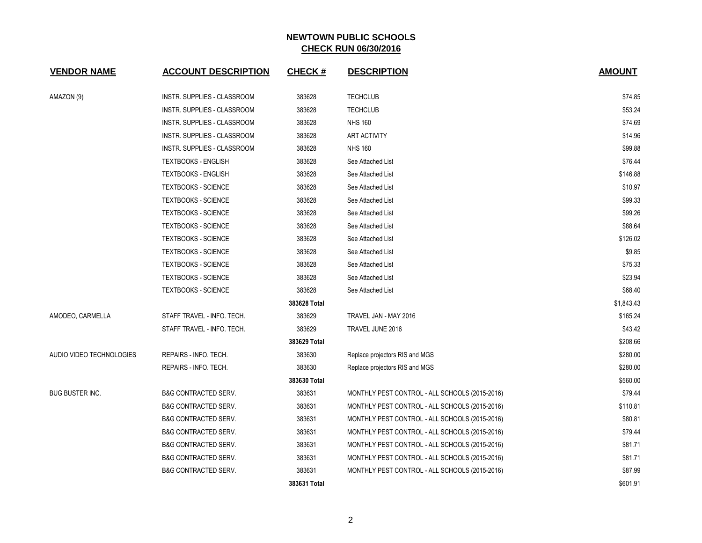| <b>VENDOR NAME</b>       | <b>ACCOUNT DESCRIPTION</b>      | <b>CHECK#</b> | <b>DESCRIPTION</b>                             | <b>AMOUNT</b> |
|--------------------------|---------------------------------|---------------|------------------------------------------------|---------------|
| AMAZON (9)               | INSTR. SUPPLIES - CLASSROOM     | 383628        | <b>TECHCLUB</b>                                | \$74.85       |
|                          | INSTR. SUPPLIES - CLASSROOM     | 383628        | <b>TECHCLUB</b>                                | \$53.24       |
|                          | INSTR. SUPPLIES - CLASSROOM     | 383628        | <b>NHS 160</b>                                 | \$74.69       |
|                          | INSTR. SUPPLIES - CLASSROOM     | 383628        | <b>ART ACTIVITY</b>                            | \$14.96       |
|                          | INSTR. SUPPLIES - CLASSROOM     | 383628        | <b>NHS 160</b>                                 | \$99.88       |
|                          | <b>TEXTBOOKS - ENGLISH</b>      | 383628        | See Attached List                              | \$76.44       |
|                          | <b>TEXTBOOKS - ENGLISH</b>      | 383628        | See Attached List                              | \$146.88      |
|                          | <b>TEXTBOOKS - SCIENCE</b>      | 383628        | See Attached List                              | \$10.97       |
|                          | <b>TEXTBOOKS - SCIENCE</b>      | 383628        | See Attached List                              | \$99.33       |
|                          | <b>TEXTBOOKS - SCIENCE</b>      | 383628        | See Attached List                              | \$99.26       |
|                          | <b>TEXTBOOKS - SCIENCE</b>      | 383628        | See Attached List                              | \$88.64       |
|                          | <b>TEXTBOOKS - SCIENCE</b>      | 383628        | See Attached List                              | \$126.02      |
|                          | <b>TEXTBOOKS - SCIENCE</b>      | 383628        | See Attached List                              | \$9.85        |
|                          | <b>TEXTBOOKS - SCIENCE</b>      | 383628        | See Attached List                              | \$75.33       |
|                          | <b>TEXTBOOKS - SCIENCE</b>      | 383628        | See Attached List                              | \$23.94       |
|                          | <b>TEXTBOOKS - SCIENCE</b>      | 383628        | See Attached List                              | \$68.40       |
|                          |                                 | 383628 Total  |                                                | \$1,843.43    |
| AMODEO, CARMELLA         | STAFF TRAVEL - INFO. TECH.      | 383629        | TRAVEL JAN - MAY 2016                          | \$165.24      |
|                          | STAFF TRAVEL - INFO. TECH.      | 383629        | TRAVEL JUNE 2016                               | \$43.42       |
|                          |                                 | 383629 Total  |                                                | \$208.66      |
| AUDIO VIDEO TECHNOLOGIES | REPAIRS - INFO. TECH.           | 383630        | Replace projectors RIS and MGS                 | \$280.00      |
|                          | REPAIRS - INFO. TECH.           | 383630        | Replace projectors RIS and MGS                 | \$280.00      |
|                          |                                 | 383630 Total  |                                                | \$560.00      |
| <b>BUG BUSTER INC.</b>   | <b>B&amp;G CONTRACTED SERV.</b> | 383631        | MONTHLY PEST CONTROL - ALL SCHOOLS (2015-2016) | \$79.44       |
|                          | <b>B&amp;G CONTRACTED SERV.</b> | 383631        | MONTHLY PEST CONTROL - ALL SCHOOLS (2015-2016) | \$110.81      |
|                          | <b>B&amp;G CONTRACTED SERV.</b> | 383631        | MONTHLY PEST CONTROL - ALL SCHOOLS (2015-2016) | \$80.81       |
|                          | <b>B&amp;G CONTRACTED SERV.</b> | 383631        | MONTHLY PEST CONTROL - ALL SCHOOLS (2015-2016) | \$79.44       |
|                          | <b>B&amp;G CONTRACTED SERV.</b> | 383631        | MONTHLY PEST CONTROL - ALL SCHOOLS (2015-2016) | \$81.71       |
|                          | <b>B&amp;G CONTRACTED SERV.</b> | 383631        | MONTHLY PEST CONTROL - ALL SCHOOLS (2015-2016) | \$81.71       |
|                          | <b>B&amp;G CONTRACTED SERV.</b> | 383631        | MONTHLY PEST CONTROL - ALL SCHOOLS (2015-2016) | \$87.99       |
|                          |                                 | 383631 Total  |                                                | \$601.91      |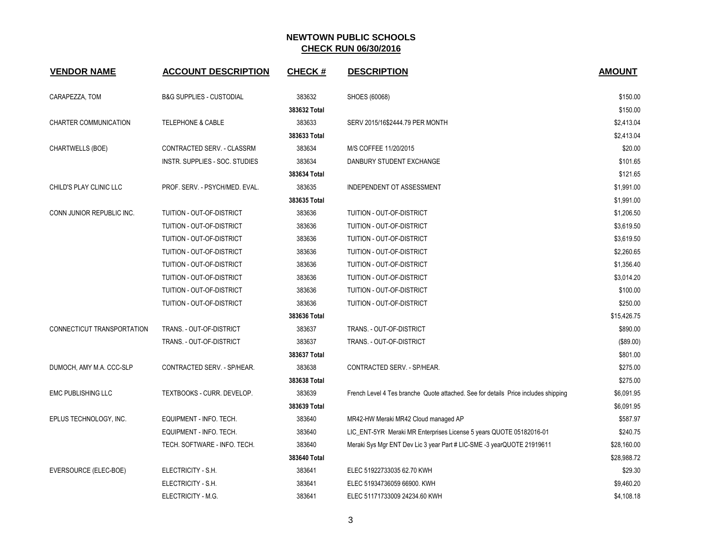| <b>VENDOR NAME</b>         | <b>ACCOUNT DESCRIPTION</b>          | <b>CHECK#</b> | <b>DESCRIPTION</b>                                                                 | <b>AMOUNT</b> |
|----------------------------|-------------------------------------|---------------|------------------------------------------------------------------------------------|---------------|
| CARAPEZZA, TOM             | <b>B&amp;G SUPPLIES - CUSTODIAL</b> | 383632        | SHOES (60068)                                                                      | \$150.00      |
|                            |                                     | 383632 Total  |                                                                                    | \$150.00      |
| CHARTER COMMUNICATION      | <b>TELEPHONE &amp; CABLE</b>        | 383633        | SERV 2015/16\$2444.79 PER MONTH                                                    | \$2,413.04    |
|                            |                                     | 383633 Total  |                                                                                    | \$2,413.04    |
| CHARTWELLS (BOE)           | CONTRACTED SERV. - CLASSRM          | 383634        | M/S COFFEE 11/20/2015                                                              | \$20.00       |
|                            | INSTR. SUPPLIES - SOC. STUDIES      | 383634        | DANBURY STUDENT EXCHANGE                                                           | \$101.65      |
|                            |                                     | 383634 Total  |                                                                                    | \$121.65      |
| CHILD'S PLAY CLINIC LLC    | PROF. SERV. - PSYCH/MED. EVAL.      | 383635        | INDEPENDENT OT ASSESSMENT                                                          | \$1,991.00    |
|                            |                                     | 383635 Total  |                                                                                    | \$1,991.00    |
| CONN JUNIOR REPUBLIC INC.  | TUITION - OUT-OF-DISTRICT           | 383636        | TUITION - OUT-OF-DISTRICT                                                          | \$1,206.50    |
|                            | TUITION - OUT-OF-DISTRICT           | 383636        | TUITION - OUT-OF-DISTRICT                                                          | \$3,619.50    |
|                            | TUITION - OUT-OF-DISTRICT           | 383636        | TUITION - OUT-OF-DISTRICT                                                          | \$3,619.50    |
|                            | TUITION - OUT-OF-DISTRICT           | 383636        | TUITION - OUT-OF-DISTRICT                                                          | \$2,260.65    |
|                            | TUITION - OUT-OF-DISTRICT           | 383636        | TUITION - OUT-OF-DISTRICT                                                          | \$1,356.40    |
|                            | TUITION - OUT-OF-DISTRICT           | 383636        | TUITION - OUT-OF-DISTRICT                                                          | \$3,014.20    |
|                            | TUITION - OUT-OF-DISTRICT           | 383636        | TUITION - OUT-OF-DISTRICT                                                          | \$100.00      |
|                            | TUITION - OUT-OF-DISTRICT           | 383636        | TUITION - OUT-OF-DISTRICT                                                          | \$250.00      |
|                            |                                     | 383636 Total  |                                                                                    | \$15,426.75   |
| CONNECTICUT TRANSPORTATION | TRANS. - OUT-OF-DISTRICT            | 383637        | TRANS. - OUT-OF-DISTRICT                                                           | \$890.00      |
|                            | TRANS. - OUT-OF-DISTRICT            | 383637        | TRANS. - OUT-OF-DISTRICT                                                           | (\$89.00)     |
|                            |                                     | 383637 Total  |                                                                                    | \$801.00      |
| DUMOCH, AMY M.A. CCC-SLP   | CONTRACTED SERV. - SP/HEAR.         | 383638        | CONTRACTED SERV. - SP/HEAR.                                                        | \$275.00      |
|                            |                                     | 383638 Total  |                                                                                    | \$275.00      |
| <b>EMC PUBLISHING LLC</b>  | TEXTBOOKS - CURR. DEVELOP.          | 383639        | French Level 4 Tes branche Quote attached. See for details Price includes shipping | \$6,091.95    |
|                            |                                     | 383639 Total  |                                                                                    | \$6,091.95    |
| EPLUS TECHNOLOGY, INC.     | EQUIPMENT - INFO. TECH.             | 383640        | MR42-HW Meraki MR42 Cloud managed AP                                               | \$587.97      |
|                            | EQUIPMENT - INFO. TECH.             | 383640        | LIC_ENT-5YR Meraki MR Enterprises License 5 years QUOTE 05182016-01                | \$240.75      |
|                            | TECH. SOFTWARE - INFO. TECH.        | 383640        | Meraki Sys Mgr ENT Dev Lic 3 year Part # LIC-SME -3 yearQUOTE 21919611             | \$28,160.00   |
|                            |                                     | 383640 Total  |                                                                                    | \$28,988.72   |
| EVERSOURCE (ELEC-BOE)      | ELECTRICITY - S.H.                  | 383641        | ELEC 51922733035 62.70 KWH                                                         | \$29.30       |
|                            | ELECTRICITY - S.H.                  | 383641        | ELEC 51934736059 66900. KWH                                                        | \$9,460.20    |
|                            | ELECTRICITY - M.G.                  | 383641        | ELEC 51171733009 24234.60 KWH                                                      | \$4,108.18    |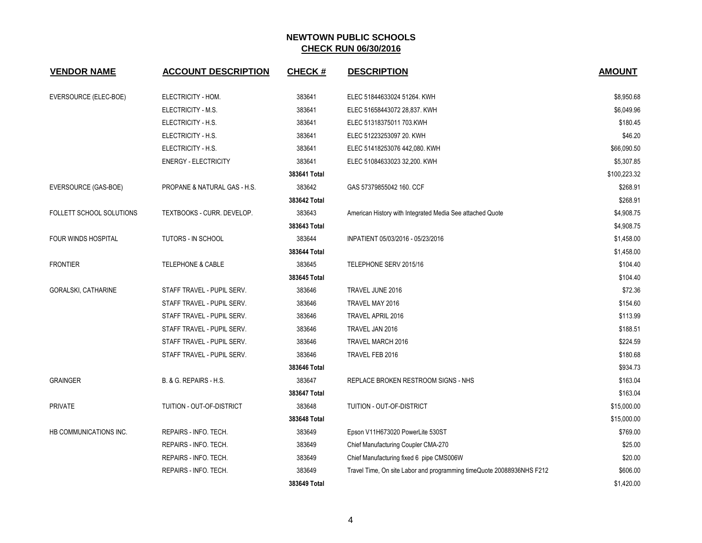| <b>VENDOR NAME</b>         | <b>ACCOUNT DESCRIPTION</b>   | <b>CHECK#</b> | <b>DESCRIPTION</b>                                                    | <b>AMOUNT</b> |
|----------------------------|------------------------------|---------------|-----------------------------------------------------------------------|---------------|
| EVERSOURCE (ELEC-BOE)      | ELECTRICITY - HOM.           | 383641        | ELEC 51844633024 51264. KWH                                           | \$8,950.68    |
|                            | ELECTRICITY - M.S.           | 383641        | ELEC 51658443072 28,837. KWH                                          | \$6,049.96    |
|                            | ELECTRICITY - H.S.           | 383641        | ELEC 51318375011 703.KWH                                              | \$180.45      |
|                            | ELECTRICITY - H.S.           | 383641        | ELEC 51223253097 20. KWH                                              | \$46.20       |
|                            | ELECTRICITY - H.S.           | 383641        | ELEC 51418253076 442,080. KWH                                         | \$66,090.50   |
|                            | <b>ENERGY - ELECTRICITY</b>  | 383641        | ELEC 51084633023 32,200. KWH                                          | \$5,307.85    |
|                            |                              | 383641 Total  |                                                                       | \$100,223.32  |
| EVERSOURCE (GAS-BOE)       | PROPANE & NATURAL GAS - H.S. | 383642        | GAS 57379855042 160. CCF                                              | \$268.91      |
|                            |                              | 383642 Total  |                                                                       | \$268.91      |
| FOLLETT SCHOOL SOLUTIONS   | TEXTBOOKS - CURR. DEVELOP.   | 383643        | American History with Integrated Media See attached Quote             | \$4,908.75    |
|                            |                              | 383643 Total  |                                                                       | \$4,908.75    |
| <b>FOUR WINDS HOSPITAL</b> | <b>TUTORS - IN SCHOOL</b>    | 383644        | INPATIENT 05/03/2016 - 05/23/2016                                     | \$1,458.00    |
|                            |                              | 383644 Total  |                                                                       | \$1,458.00    |
| <b>FRONTIER</b>            | <b>TELEPHONE &amp; CABLE</b> | 383645        | TELEPHONE SERV 2015/16                                                | \$104.40      |
|                            |                              | 383645 Total  |                                                                       | \$104.40      |
| <b>GORALSKI, CATHARINE</b> | STAFF TRAVEL - PUPIL SERV.   | 383646        | TRAVEL JUNE 2016                                                      | \$72.36       |
|                            | STAFF TRAVEL - PUPIL SERV.   | 383646        | TRAVEL MAY 2016                                                       | \$154.60      |
|                            | STAFF TRAVEL - PUPIL SERV.   | 383646        | TRAVEL APRIL 2016                                                     | \$113.99      |
|                            | STAFF TRAVEL - PUPIL SERV.   | 383646        | TRAVEL JAN 2016                                                       | \$188.51      |
|                            | STAFF TRAVEL - PUPIL SERV.   | 383646        | TRAVEL MARCH 2016                                                     | \$224.59      |
|                            | STAFF TRAVEL - PUPIL SERV.   | 383646        | TRAVEL FEB 2016                                                       | \$180.68      |
|                            |                              | 383646 Total  |                                                                       | \$934.73      |
| <b>GRAINGER</b>            | B. & G. REPAIRS - H.S.       | 383647        | REPLACE BROKEN RESTROOM SIGNS - NHS                                   | \$163.04      |
|                            |                              | 383647 Total  |                                                                       | \$163.04      |
| <b>PRIVATE</b>             | TUITION - OUT-OF-DISTRICT    | 383648        | TUITION - OUT-OF-DISTRICT                                             | \$15,000.00   |
|                            |                              | 383648 Total  |                                                                       | \$15,000.00   |
| HB COMMUNICATIONS INC.     | REPAIRS - INFO. TECH.        | 383649        | Epson V11H673020 PowerLite 530ST                                      | \$769.00      |
|                            | REPAIRS - INFO. TECH.        | 383649        | Chief Manufacturing Coupler CMA-270                                   | \$25.00       |
|                            | REPAIRS - INFO. TECH.        | 383649        | Chief Manufacturing fixed 6 pipe CMS006W                              | \$20.00       |
|                            | REPAIRS - INFO. TECH.        | 383649        | Travel Time, On site Labor and programming timeQuote 20088936NHS F212 | \$606.00      |
|                            |                              | 383649 Total  |                                                                       | \$1,420.00    |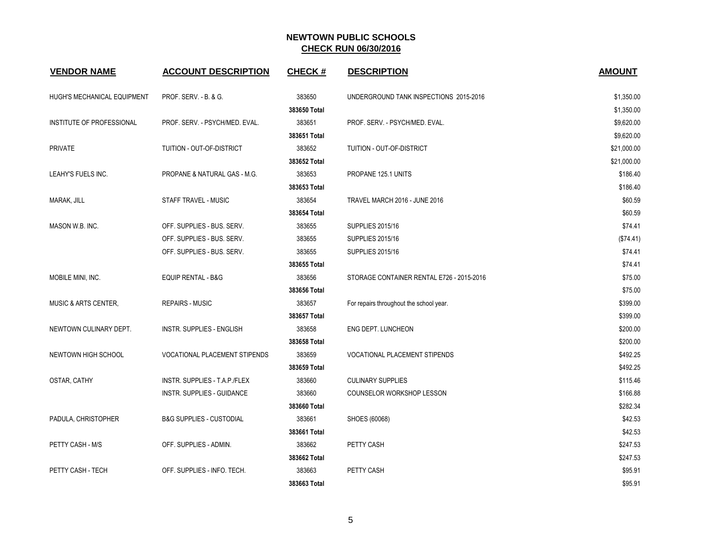| <b>VENDOR NAME</b>              | <b>ACCOUNT DESCRIPTION</b>           | <b>CHECK#</b> | <b>DESCRIPTION</b>                        | <b>AMOUNT</b> |
|---------------------------------|--------------------------------------|---------------|-------------------------------------------|---------------|
| HUGH'S MECHANICAL EQUIPMENT     | PROF. SERV. - B. & G.                | 383650        | UNDERGROUND TANK INSPECTIONS 2015-2016    | \$1,350.00    |
|                                 |                                      | 383650 Total  |                                           | \$1,350.00    |
| INSTITUTE OF PROFESSIONAL       | PROF. SERV. - PSYCH/MED. EVAL.       | 383651        | PROF. SERV. - PSYCH/MED. EVAL.            | \$9,620.00    |
|                                 |                                      | 383651 Total  |                                           | \$9,620.00    |
| <b>PRIVATE</b>                  | TUITION - OUT-OF-DISTRICT            | 383652        | TUITION - OUT-OF-DISTRICT                 | \$21,000.00   |
|                                 |                                      | 383652 Total  |                                           | \$21,000.00   |
| LEAHY'S FUELS INC.              | PROPANE & NATURAL GAS - M.G.         | 383653        | PROPANE 125.1 UNITS                       | \$186.40      |
|                                 |                                      | 383653 Total  |                                           | \$186.40      |
| MARAK, JILL                     | <b>STAFF TRAVEL - MUSIC</b>          | 383654        | TRAVEL MARCH 2016 - JUNE 2016             | \$60.59       |
|                                 |                                      | 383654 Total  |                                           | \$60.59       |
| MASON W.B. INC.                 | OFF. SUPPLIES - BUS. SERV.           | 383655        | <b>SUPPLIES 2015/16</b>                   | \$74.41       |
|                                 | OFF. SUPPLIES - BUS. SERV.           | 383655        | <b>SUPPLIES 2015/16</b>                   | (\$74.41)     |
|                                 | OFF. SUPPLIES - BUS. SERV.           | 383655        | <b>SUPPLIES 2015/16</b>                   | \$74.41       |
|                                 |                                      | 383655 Total  |                                           | \$74.41       |
| MOBILE MINI, INC.               | <b>EQUIP RENTAL - B&amp;G</b>        | 383656        | STORAGE CONTAINER RENTAL E726 - 2015-2016 | \$75.00       |
|                                 |                                      | 383656 Total  |                                           | \$75.00       |
| <b>MUSIC &amp; ARTS CENTER.</b> | <b>REPAIRS - MUSIC</b>               | 383657        | For repairs throughout the school year.   | \$399.00      |
|                                 |                                      | 383657 Total  |                                           | \$399.00      |
| NEWTOWN CULINARY DEPT.          | <b>INSTR. SUPPLIES - ENGLISH</b>     | 383658        | ENG DEPT. LUNCHEON                        | \$200.00      |
|                                 |                                      | 383658 Total  |                                           | \$200.00      |
| NEWTOWN HIGH SCHOOL             | <b>VOCATIONAL PLACEMENT STIPENDS</b> | 383659        | <b>VOCATIONAL PLACEMENT STIPENDS</b>      | \$492.25      |
|                                 |                                      | 383659 Total  |                                           | \$492.25      |
| OSTAR, CATHY                    | INSTR. SUPPLIES - T.A.P./FLEX        | 383660        | <b>CULINARY SUPPLIES</b>                  | \$115.46      |
|                                 | INSTR. SUPPLIES - GUIDANCE           | 383660        | COUNSELOR WORKSHOP LESSON                 | \$166.88      |
|                                 |                                      | 383660 Total  |                                           | \$282.34      |
| PADULA, CHRISTOPHER             | <b>B&amp;G SUPPLIES - CUSTODIAL</b>  | 383661        | SHOES (60068)                             | \$42.53       |
|                                 |                                      | 383661 Total  |                                           | \$42.53       |
| PETTY CASH - M/S                | OFF. SUPPLIES - ADMIN.               | 383662        | PETTY CASH                                | \$247.53      |
|                                 |                                      | 383662 Total  |                                           | \$247.53      |
| PETTY CASH - TECH               | OFF. SUPPLIES - INFO. TECH.          | 383663        | PETTY CASH                                | \$95.91       |
|                                 |                                      | 383663 Total  |                                           | \$95.91       |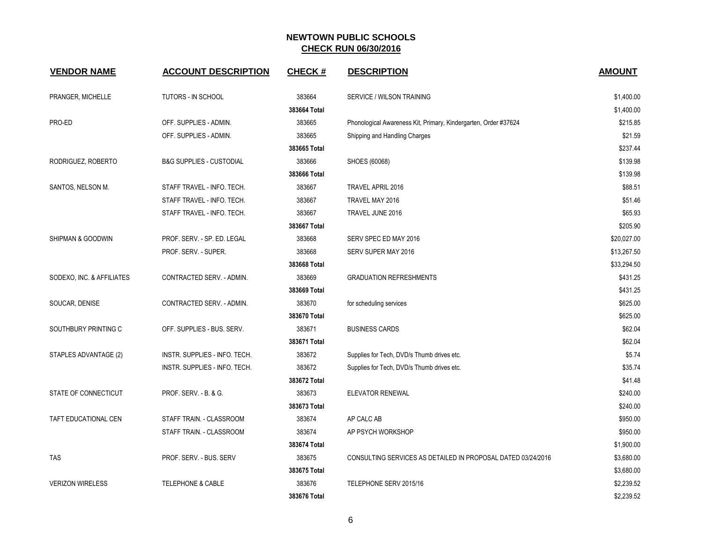| <b>VENDOR NAME</b>        | <b>ACCOUNT DESCRIPTION</b>          | <b>CHECK#</b> | <b>DESCRIPTION</b>                                              | <b>AMOUNT</b> |
|---------------------------|-------------------------------------|---------------|-----------------------------------------------------------------|---------------|
| PRANGER, MICHELLE         | <b>TUTORS - IN SCHOOL</b>           | 383664        | SERVICE / WILSON TRAINING                                       | \$1,400.00    |
|                           |                                     | 383664 Total  |                                                                 | \$1,400.00    |
| PRO-ED                    | OFF. SUPPLIES - ADMIN.              | 383665        | Phonological Awareness Kit, Primary, Kindergarten, Order #37624 | \$215.85      |
|                           | OFF. SUPPLIES - ADMIN.              | 383665        | Shipping and Handling Charges                                   | \$21.59       |
|                           |                                     | 383665 Total  |                                                                 | \$237.44      |
| RODRIGUEZ, ROBERTO        | <b>B&amp;G SUPPLIES - CUSTODIAL</b> | 383666        | SHOES (60068)                                                   | \$139.98      |
|                           |                                     | 383666 Total  |                                                                 | \$139.98      |
| SANTOS, NELSON M.         | STAFF TRAVEL - INFO. TECH.          | 383667        | TRAVEL APRIL 2016                                               | \$88.51       |
|                           | STAFF TRAVEL - INFO. TECH.          | 383667        | TRAVEL MAY 2016                                                 | \$51.46       |
|                           | STAFF TRAVEL - INFO. TECH.          | 383667        | TRAVEL JUNE 2016                                                | \$65.93       |
|                           |                                     | 383667 Total  |                                                                 | \$205.90      |
| SHIPMAN & GOODWIN         | PROF. SERV. - SP. ED. LEGAL         | 383668        | SERV SPEC ED MAY 2016                                           | \$20,027.00   |
|                           | PROF. SERV. - SUPER.                | 383668        | SERV SUPER MAY 2016                                             | \$13,267.50   |
|                           |                                     | 383668 Total  |                                                                 | \$33,294.50   |
| SODEXO, INC. & AFFILIATES | CONTRACTED SERV. - ADMIN.           | 383669        | <b>GRADUATION REFRESHMENTS</b>                                  | \$431.25      |
|                           |                                     | 383669 Total  |                                                                 | \$431.25      |
| SOUCAR, DENISE            | CONTRACTED SERV. - ADMIN.           | 383670        | for scheduling services                                         | \$625.00      |
|                           |                                     | 383670 Total  |                                                                 | \$625.00      |
| SOUTHBURY PRINTING C      | OFF. SUPPLIES - BUS. SERV.          | 383671        | <b>BUSINESS CARDS</b>                                           | \$62.04       |
|                           |                                     | 383671 Total  |                                                                 | \$62.04       |
| STAPLES ADVANTAGE (2)     | INSTR. SUPPLIES - INFO. TECH.       | 383672        | Supplies for Tech, DVD/s Thumb drives etc.                      | \$5.74        |
|                           | INSTR. SUPPLIES - INFO. TECH.       | 383672        | Supplies for Tech, DVD/s Thumb drives etc.                      | \$35.74       |
|                           |                                     | 383672 Total  |                                                                 | \$41.48       |
| STATE OF CONNECTICUT      | PROF. SERV. - B. & G.               | 383673        | <b>ELEVATOR RENEWAL</b>                                         | \$240.00      |
|                           |                                     | 383673 Total  |                                                                 | \$240.00      |
| TAFT EDUCATIONAL CEN      | STAFF TRAIN. - CLASSROOM            | 383674        | AP CALC AB                                                      | \$950.00      |
|                           | STAFF TRAIN. - CLASSROOM            | 383674        | AP PSYCH WORKSHOP                                               | \$950.00      |
|                           |                                     | 383674 Total  |                                                                 | \$1,900.00    |
| <b>TAS</b>                | PROF. SERV. - BUS. SERV             | 383675        | CONSULTING SERVICES AS DETAILED IN PROPOSAL DATED 03/24/2016    | \$3,680.00    |
|                           |                                     | 383675 Total  |                                                                 | \$3,680.00    |
| <b>VERIZON WIRELESS</b>   | <b>TELEPHONE &amp; CABLE</b>        | 383676        | TELEPHONE SERV 2015/16                                          | \$2,239.52    |
|                           |                                     | 383676 Total  |                                                                 | \$2,239.52    |